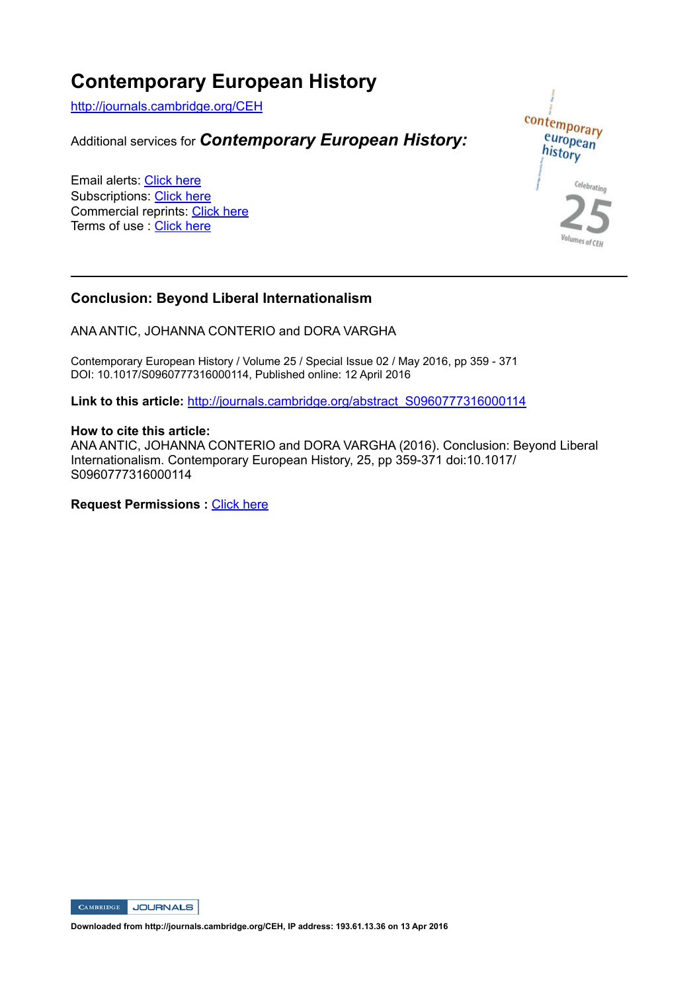## **Contemporary European History**

http://journals.cambridge.org/CEH

Additional services for *Contemporary European History:*

Email alerts: Click here Subscriptions: Click here Commercial reprints: Click here Terms of use : Click here



### **Conclusion: Beyond Liberal Internationalism**

ANA ANTIC, JOHANNA CONTERIO and DORA VARGHA

Contemporary European History / Volume 25 / Special Issue 02 / May 2016, pp 359 - 371 DOI: 10.1017/S0960777316000114, Published online: 12 April 2016

**Link to this article:** http://journals.cambridge.org/abstract\_S0960777316000114

#### **How to cite this article:**

ANA ANTIC, JOHANNA CONTERIO and DORA VARGHA (2016). Conclusion: Beyond Liberal Internationalism. Contemporary European History, 25, pp 359-371 doi:10.1017/ S0960777316000114

**Request Permissions : Click here** 



**Downloaded from http://journals.cambridge.org/CEH, IP address: 193.61.13.36 on 13 Apr 2016**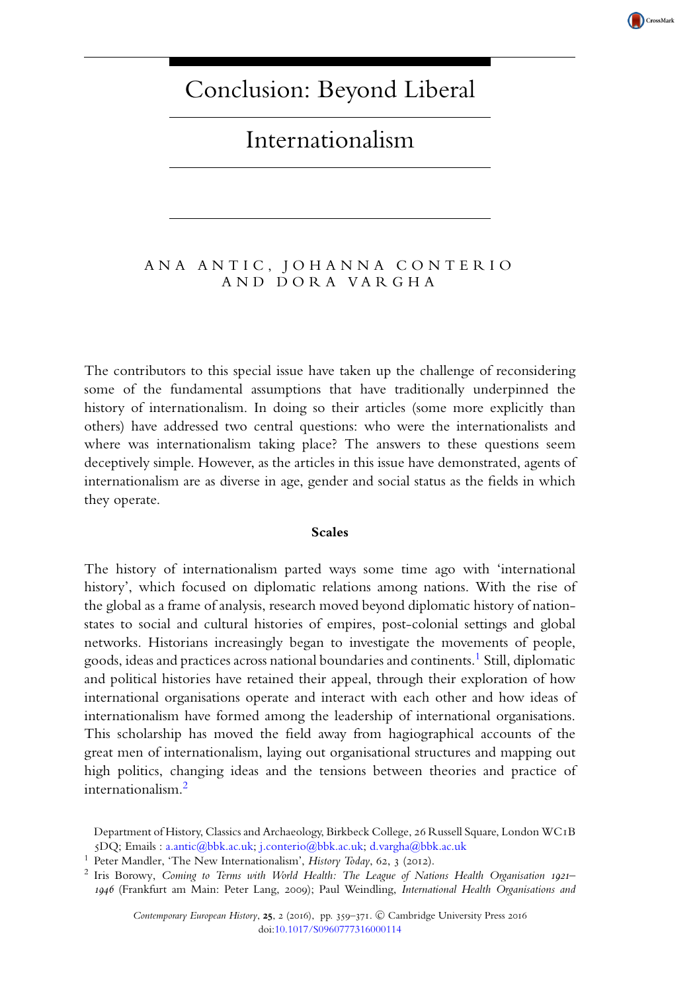# Conclusion: Beyond Liberal

CrossMark

## Internationalism

### ANA ANTIC, JOHANNA CONTERIO AND DORA VARGHA

The contributors to this special issue have taken up the challenge of reconsidering some of the fundamental assumptions that have traditionally underpinned the history of internationalism. In doing so their articles (some more explicitly than others) have addressed two central questions: who were the internationalists and where was internationalism taking place? The answers to these questions seem deceptively simple. However, as the articles in this issue have demonstrated, agents of internationalism are as diverse in age, gender and social status as the fields in which they operate.

#### **Scales**

The history of internationalism parted ways some time ago with 'international history', which focused on diplomatic relations among nations. With the rise of the global as a frame of analysis, research moved beyond diplomatic history of nationstates to social and cultural histories of empires, post-colonial settings and global networks. Historians increasingly began to investigate the movements of people, goods, ideas and practices across national boundaries and continents.<sup>1</sup> Still, diplomatic and political histories have retained their appeal, through their exploration of how international organisations operate and interact with each other and how ideas of internationalism have formed among the leadership of international organisations. This scholarship has moved the field away from hagiographical accounts of the great men of internationalism, laying out organisational structures and mapping out high politics, changing ideas and the tensions between theories and practice of internationalism.2

Department of History, Classics and Archaeology, Birkbeck College, 26 Russell Square, London WC1B 5DQ; Emails : [a.antic@bbk.ac.uk;](mailto:a.antic@bbk.ac.uk) [j.conterio@bbk.ac.uk;](mailto:j.conterio@bbk.ac.uk) [d.vargha@bbk.ac.uk](mailto:d.vargha@bbk.ac.uk)

<sup>1</sup> Peter Mandler, 'The New Internationalism', *History Today*, 62, 3 (2012).

<sup>2</sup> Iris Borowy, *Coming to Terms with World Health: The League of Nations Health Organisation 1921– 1946* (Frankfurt am Main: Peter Lang, 2009); Paul Weindling, *International Health Organisations and*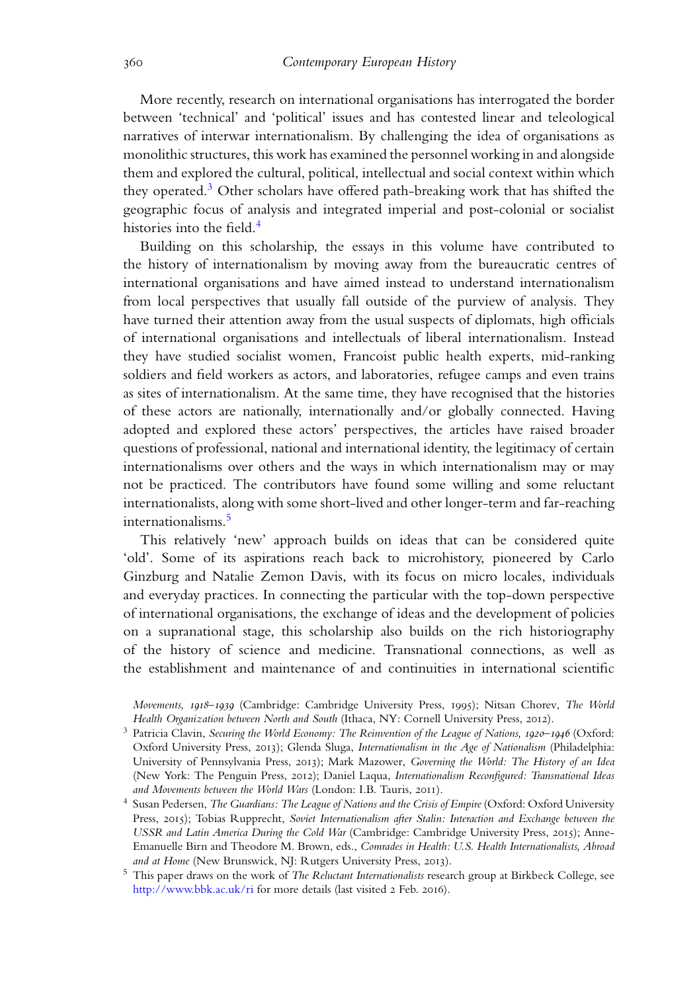More recently, research on international organisations has interrogated the border between 'technical' and 'political' issues and has contested linear and teleological narratives of interwar internationalism. By challenging the idea of organisations as monolithic structures, this work has examined the personnel working in and alongside them and explored the cultural, political, intellectual and social context within which they operated.<sup>3</sup> Other scholars have offered path-breaking work that has shifted the geographic focus of analysis and integrated imperial and post-colonial or socialist histories into the field.<sup>4</sup>

Building on this scholarship, the essays in this volume have contributed to the history of internationalism by moving away from the bureaucratic centres of international organisations and have aimed instead to understand internationalism from local perspectives that usually fall outside of the purview of analysis. They have turned their attention away from the usual suspects of diplomats, high officials of international organisations and intellectuals of liberal internationalism. Instead they have studied socialist women, Francoist public health experts, mid-ranking soldiers and field workers as actors, and laboratories, refugee camps and even trains as sites of internationalism. At the same time, they have recognised that the histories of these actors are nationally, internationally and/or globally connected. Having adopted and explored these actors' perspectives, the articles have raised broader questions of professional, national and international identity, the legitimacy of certain internationalisms over others and the ways in which internationalism may or may not be practiced. The contributors have found some willing and some reluctant internationalists, along with some short-lived and other longer-term and far-reaching internationalisms.5

This relatively 'new' approach builds on ideas that can be considered quite 'old'. Some of its aspirations reach back to microhistory, pioneered by Carlo Ginzburg and Natalie Zemon Davis, with its focus on micro locales, individuals and everyday practices. In connecting the particular with the top-down perspective of international organisations, the exchange of ideas and the development of policies on a supranational stage, this scholarship also builds on the rich historiography of the history of science and medicine. Transnational connections, as well as the establishment and maintenance of and continuities in international scientific

*Movements, 1918–1939* (Cambridge: Cambridge University Press, 1995); Nitsan Chorev, *The World Health Organization between North and South* (Ithaca, NY: Cornell University Press, 2012).

<sup>3</sup> Patricia Clavin, *Securing the World Economy: The Reinvention of the League of Nations, 1920–1946* (Oxford: Oxford University Press, 2013); Glenda Sluga, *Internationalism in the Age of Nationalism* (Philadelphia: University of Pennsylvania Press, 2013); Mark Mazower, *Governing the World: The History of an Idea* (New York: The Penguin Press, 2012); Daniel Laqua, *Internationalism Reconfigured: Transnational Ideas and Movements between the World Wars* (London: I.B. Tauris, 2011).

<sup>4</sup> Susan Pedersen, *The Guardians: The League of Nations and the Crisis of Empire* (Oxford: Oxford University Press, 2015); Tobias Rupprecht, *Soviet Internationalism after Stalin: Interaction and Exchange between the USSR and Latin America During the Cold War* (Cambridge: Cambridge University Press, 2015); Anne-Emanuelle Birn and Theodore M. Brown, eds., *Comrades in Health: U.S. Health Internationalists, Abroad and at Home* (New Brunswick, NJ: Rutgers University Press, 2013).

<sup>5</sup> This paper draws on the work of *The Reluctant Internationalists* research group at Birkbeck College, see <http://www.bbk.ac.uk/ri> for more details (last visited 2 Feb. 2016).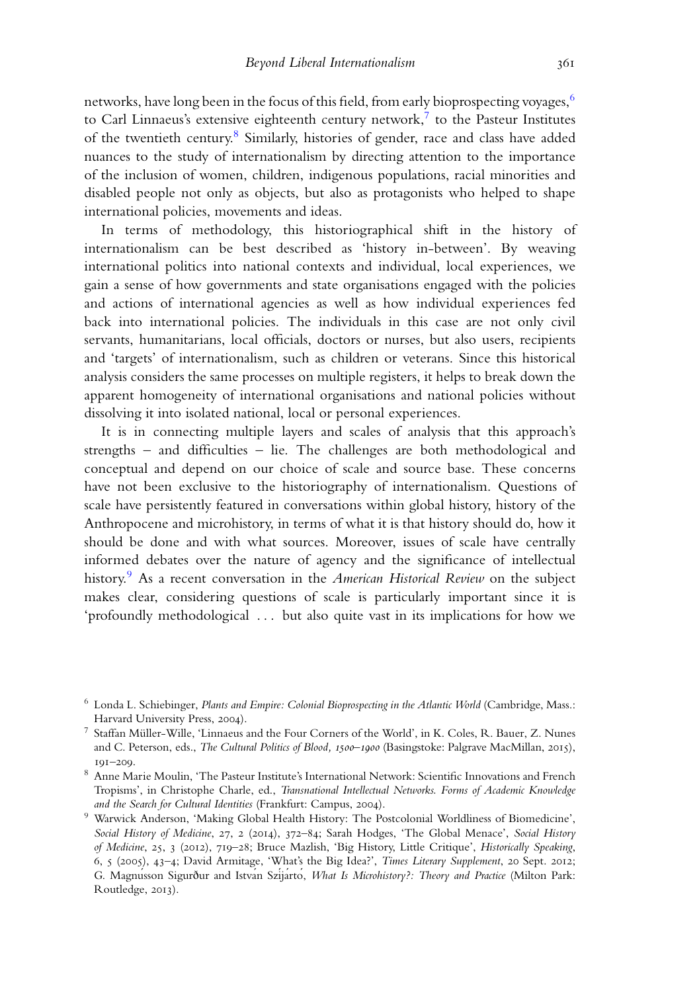networks, have long been in the focus of this field, from early bioprospecting voyages,  $6\overline{6}$ to Carl Linnaeus's extensive eighteenth century network, $\bar{\ }$  to the Pasteur Institutes of the twentieth century.8 Similarly, histories of gender, race and class have added nuances to the study of internationalism by directing attention to the importance of the inclusion of women, children, indigenous populations, racial minorities and disabled people not only as objects, but also as protagonists who helped to shape international policies, movements and ideas.

In terms of methodology, this historiographical shift in the history of internationalism can be best described as 'history in-between'. By weaving international politics into national contexts and individual, local experiences, we gain a sense of how governments and state organisations engaged with the policies and actions of international agencies as well as how individual experiences fed back into international policies. The individuals in this case are not only civil servants, humanitarians, local officials, doctors or nurses, but also users, recipients and 'targets' of internationalism, such as children or veterans. Since this historical analysis considers the same processes on multiple registers, it helps to break down the apparent homogeneity of international organisations and national policies without dissolving it into isolated national, local or personal experiences.

It is in connecting multiple layers and scales of analysis that this approach's strengths – and difficulties – lie. The challenges are both methodological and conceptual and depend on our choice of scale and source base. These concerns have not been exclusive to the historiography of internationalism. Questions of scale have persistently featured in conversations within global history, history of the Anthropocene and microhistory, in terms of what it is that history should do, how it should be done and with what sources. Moreover, issues of scale have centrally informed debates over the nature of agency and the significance of intellectual history.9 As a recent conversation in the *American Historical Review* on the subject makes clear, considering questions of scale is particularly important since it is 'profoundly methodological . . . but also quite vast in its implications for how we

<sup>6</sup> Londa L. Schiebinger, *Plants and Empire: Colonial Bioprospecting in the Atlantic World* (Cambridge, Mass.: Harvard University Press, 2004).

<sup>7</sup> Staffan Müller-Wille, 'Linnaeus and the Four Corners of the World', in K. Coles, R. Bauer, Z. Nunes and C. Peterson, eds., *The Cultural Politics of Blood, 1500–1900* (Basingstoke: Palgrave MacMillan, 2015), 191–209.

<sup>8</sup> Anne Marie Moulin, 'The Pasteur Institute's International Network: Scientific Innovations and French Tropisms', in Christophe Charle, ed., *Transnational Intellectual Networks. Forms of Academic Knowledge and the Search for Cultural Identities* (Frankfurt: Campus, 2004).

<sup>9</sup> Warwick Anderson, 'Making Global Health History: The Postcolonial Worldliness of Biomedicine', *Social History of Medicine*, 27, 2 (2014), 372–84; Sarah Hodges, 'The Global Menace', *Social History of Medicine*, 25, 3 (2012), 719–28; Bruce Mazlish, 'Big History, Little Critique', *Historically Speaking*, 6, 5 (2005), 43–4; David Armitage, 'What's the Big Idea?', *Times Literary Supplement*, 20 Sept. 2012; G. Magnússon Sigurður and István Szíjártó, *What Is Microhistory?: Theory and Practice* (Milton Park: Routledge, 2013).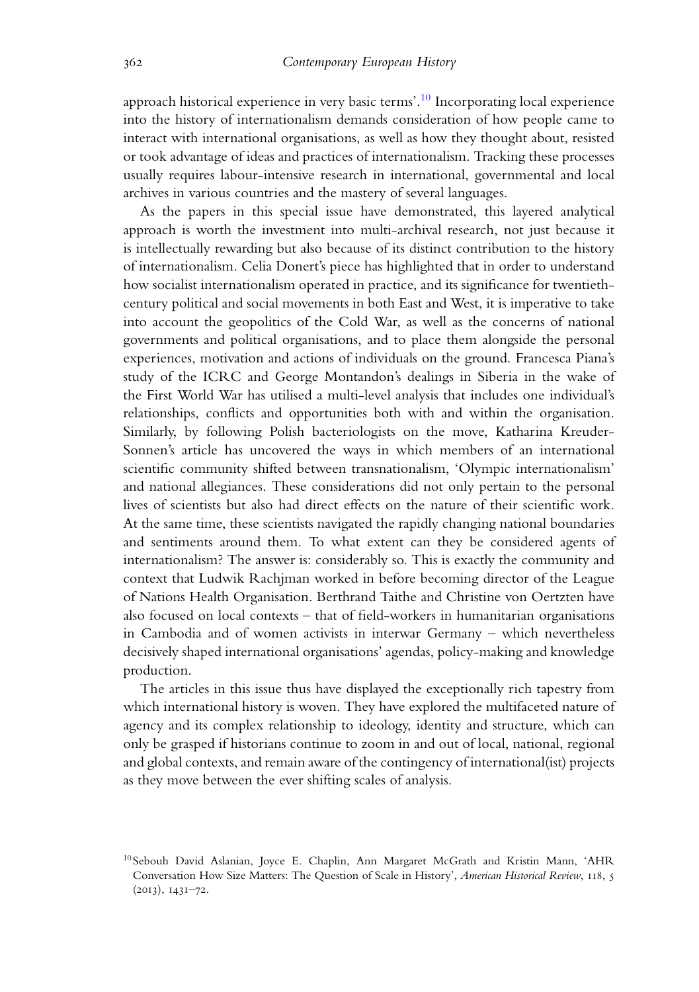approach historical experience in very basic terms'.<sup>10</sup> Incorporating local experience into the history of internationalism demands consideration of how people came to interact with international organisations, as well as how they thought about, resisted or took advantage of ideas and practices of internationalism. Tracking these processes usually requires labour-intensive research in international, governmental and local archives in various countries and the mastery of several languages.

As the papers in this special issue have demonstrated, this layered analytical approach is worth the investment into multi-archival research, not just because it is intellectually rewarding but also because of its distinct contribution to the history of internationalism. Celia Donert's piece has highlighted that in order to understand how socialist internationalism operated in practice, and its significance for twentiethcentury political and social movements in both East and West, it is imperative to take into account the geopolitics of the Cold War, as well as the concerns of national governments and political organisations, and to place them alongside the personal experiences, motivation and actions of individuals on the ground. Francesca Piana's study of the ICRC and George Montandon's dealings in Siberia in the wake of the First World War has utilised a multi-level analysis that includes one individual's relationships, conflicts and opportunities both with and within the organisation. Similarly, by following Polish bacteriologists on the move, Katharina Kreuder-Sonnen's article has uncovered the ways in which members of an international scientific community shifted between transnationalism, 'Olympic internationalism' and national allegiances. These considerations did not only pertain to the personal lives of scientists but also had direct effects on the nature of their scientific work. At the same time, these scientists navigated the rapidly changing national boundaries and sentiments around them. To what extent can they be considered agents of internationalism? The answer is: considerably so. This is exactly the community and context that Ludwik Rachjman worked in before becoming director of the League of Nations Health Organisation. Berthrand Taithe and Christine von Oertzten have also focused on local contexts – that of field-workers in humanitarian organisations in Cambodia and of women activists in interwar Germany – which nevertheless decisively shaped international organisations' agendas, policy-making and knowledge production.

The articles in this issue thus have displayed the exceptionally rich tapestry from which international history is woven. They have explored the multifaceted nature of agency and its complex relationship to ideology, identity and structure, which can only be grasped if historians continue to zoom in and out of local, national, regional and global contexts, and remain aware of the contingency of international(ist) projects as they move between the ever shifting scales of analysis.

<sup>10</sup> Sebouh David Aslanian, Joyce E. Chaplin, Ann Margaret McGrath and Kristin Mann, 'AHR Conversation How Size Matters: The Question of Scale in History', *American Historical Review*, 118, 5 (2013), 1431–72.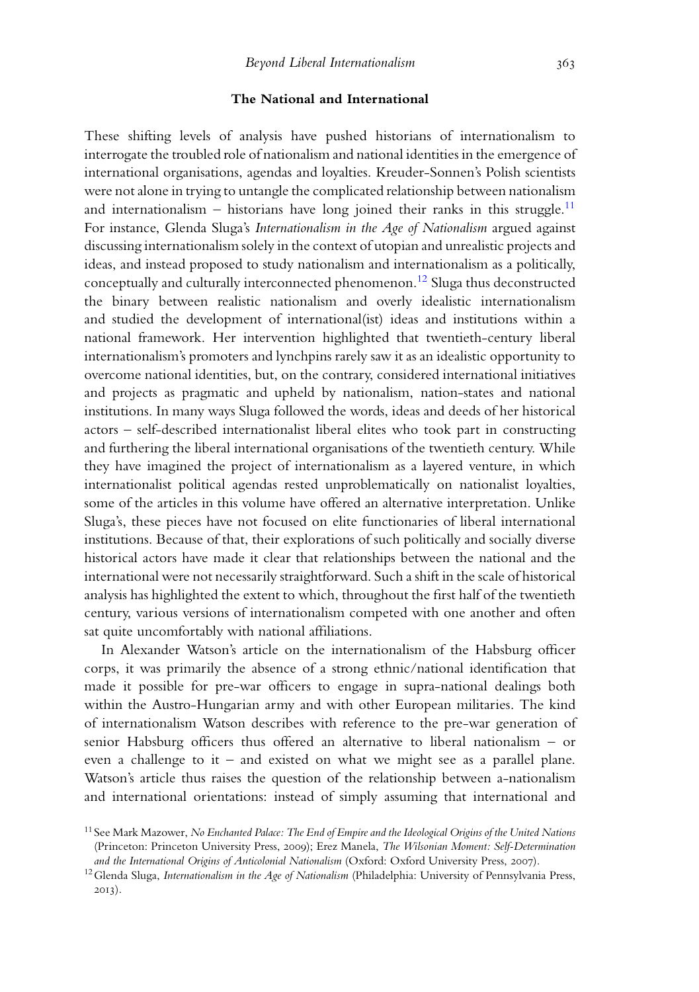### **The National and International**

These shifting levels of analysis have pushed historians of internationalism to interrogate the troubled role of nationalism and national identities in the emergence of international organisations, agendas and loyalties. Kreuder-Sonnen's Polish scientists were not alone in trying to untangle the complicated relationship between nationalism and internationalism – historians have long joined their ranks in this struggle.<sup>11</sup> For instance, Glenda Sluga's *Internationalism in the Age of Nationalism* argued against discussing internationalism solely in the context of utopian and unrealistic projects and ideas, and instead proposed to study nationalism and internationalism as a politically, conceptually and culturally interconnected phenomenon.<sup>12</sup> Sluga thus deconstructed the binary between realistic nationalism and overly idealistic internationalism and studied the development of international(ist) ideas and institutions within a national framework. Her intervention highlighted that twentieth-century liberal internationalism's promoters and lynchpins rarely saw it as an idealistic opportunity to overcome national identities, but, on the contrary, considered international initiatives and projects as pragmatic and upheld by nationalism, nation-states and national institutions. In many ways Sluga followed the words, ideas and deeds of her historical actors – self-described internationalist liberal elites who took part in constructing and furthering the liberal international organisations of the twentieth century. While they have imagined the project of internationalism as a layered venture, in which internationalist political agendas rested unproblematically on nationalist loyalties, some of the articles in this volume have offered an alternative interpretation. Unlike Sluga's, these pieces have not focused on elite functionaries of liberal international institutions. Because of that, their explorations of such politically and socially diverse historical actors have made it clear that relationships between the national and the international were not necessarily straightforward. Such a shift in the scale of historical analysis has highlighted the extent to which, throughout the first half of the twentieth century, various versions of internationalism competed with one another and often sat quite uncomfortably with national affiliations.

In Alexander Watson's article on the internationalism of the Habsburg officer corps, it was primarily the absence of a strong ethnic/national identification that made it possible for pre-war officers to engage in supra-national dealings both within the Austro-Hungarian army and with other European militaries. The kind of internationalism Watson describes with reference to the pre-war generation of senior Habsburg officers thus offered an alternative to liberal nationalism – or even a challenge to it – and existed on what we might see as a parallel plane. Watson's article thus raises the question of the relationship between a-nationalism and international orientations: instead of simply assuming that international and

<sup>11</sup> See Mark Mazower, *No Enchanted Palace: The End of Empire and the Ideological Origins of the United Nations* (Princeton: Princeton University Press, 2009); Erez Manela, *The Wilsonian Moment: Self-Determination and the International Origins of Anticolonial Nationalism* (Oxford: Oxford University Press, 2007).

<sup>12</sup>Glenda Sluga, *Internationalism in the Age of Nationalism* (Philadelphia: University of Pennsylvania Press, 2013).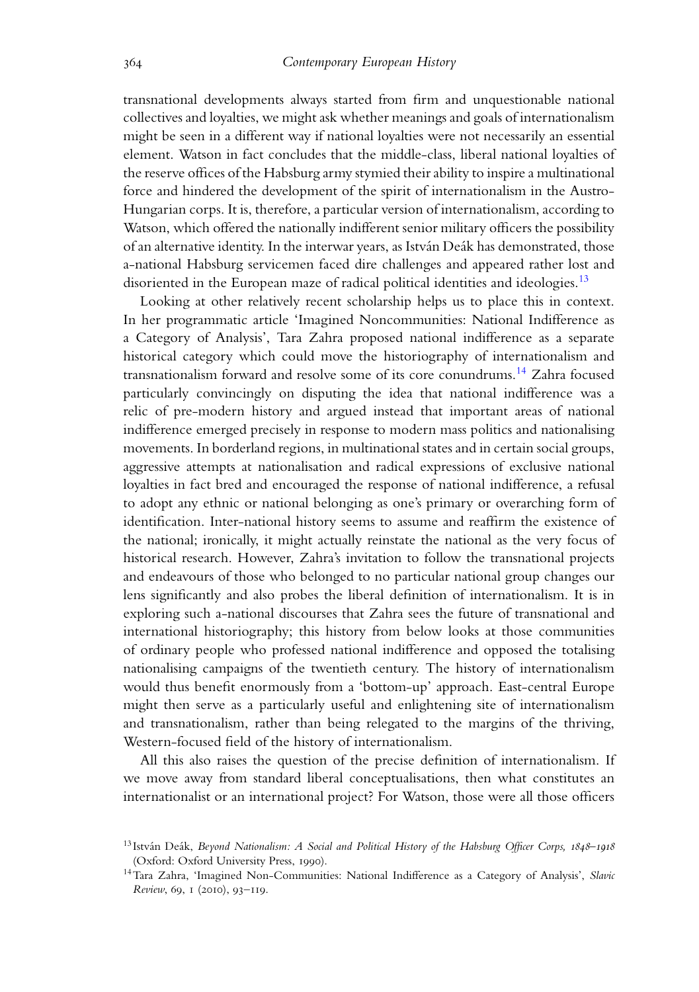transnational developments always started from firm and unquestionable national collectives and loyalties, we might ask whether meanings and goals of internationalism might be seen in a different way if national loyalties were not necessarily an essential element. Watson in fact concludes that the middle-class, liberal national loyalties of the reserve offices of the Habsburg army stymied their ability to inspire a multinational force and hindered the development of the spirit of internationalism in the Austro-Hungarian corps. It is, therefore, a particular version of internationalism, according to Watson, which offered the nationally indifferent senior military officers the possibility of an alternative identity. In the interwar years, as István Deák has demonstrated, those a-national Habsburg servicemen faced dire challenges and appeared rather lost and disoriented in the European maze of radical political identities and ideologies.<sup>13</sup>

Looking at other relatively recent scholarship helps us to place this in context. In her programmatic article 'Imagined Noncommunities: National Indifference as a Category of Analysis', Tara Zahra proposed national indifference as a separate historical category which could move the historiography of internationalism and transnationalism forward and resolve some of its core conundrums.14 Zahra focused particularly convincingly on disputing the idea that national indifference was a relic of pre-modern history and argued instead that important areas of national indifference emerged precisely in response to modern mass politics and nationalising movements. In borderland regions, in multinational states and in certain social groups, aggressive attempts at nationalisation and radical expressions of exclusive national loyalties in fact bred and encouraged the response of national indifference, a refusal to adopt any ethnic or national belonging as one's primary or overarching form of identification. Inter-national history seems to assume and reaffirm the existence of the national; ironically, it might actually reinstate the national as the very focus of historical research. However, Zahra's invitation to follow the transnational projects and endeavours of those who belonged to no particular national group changes our lens significantly and also probes the liberal definition of internationalism. It is in exploring such a-national discourses that Zahra sees the future of transnational and international historiography; this history from below looks at those communities of ordinary people who professed national indifference and opposed the totalising nationalising campaigns of the twentieth century. The history of internationalism would thus benefit enormously from a 'bottom-up' approach. East-central Europe might then serve as a particularly useful and enlightening site of internationalism and transnationalism, rather than being relegated to the margins of the thriving, Western-focused field of the history of internationalism.

All this also raises the question of the precise definition of internationalism. If we move away from standard liberal conceptualisations, then what constitutes an internationalist or an international project? For Watson, those were all those officers

<sup>13</sup> István Deák, *Beyond Nationalism: A Social and Political History of the Habsburg Officer Corps, 1848–1918* (Oxford: Oxford University Press, 1990).

<sup>14</sup>Tara Zahra, 'Imagined Non-Communities: National Indifference as a Category of Analysis', *Slavic Review*, 69, 1 (2010), 93–119.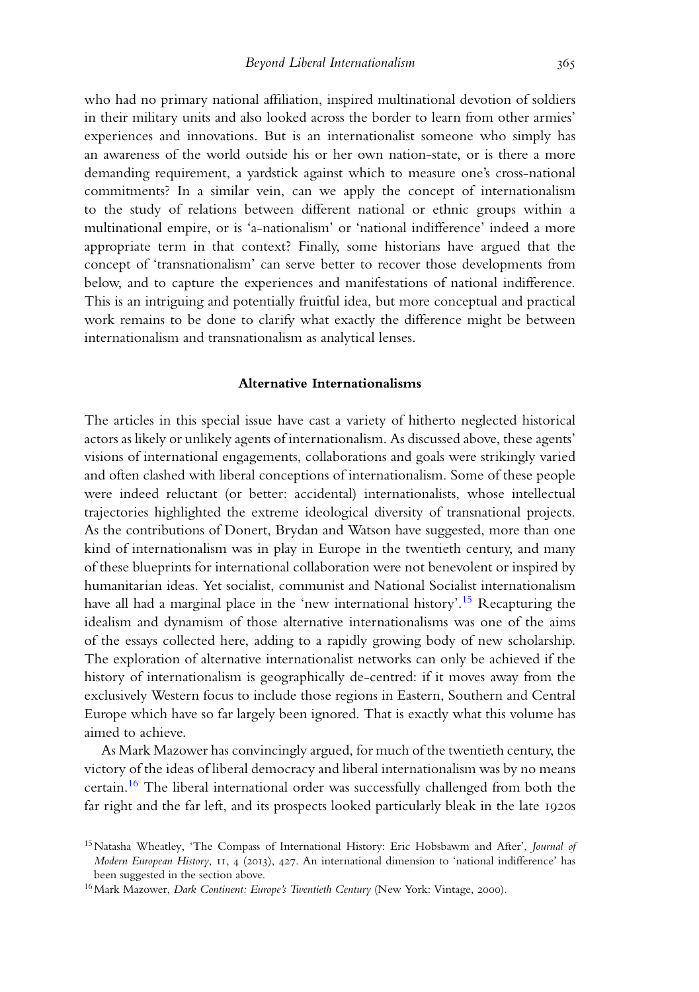who had no primary national affiliation, inspired multinational devotion of soldiers in their military units and also looked across the border to learn from other armies' experiences and innovations. But is an internationalist someone who simply has an awareness of the world outside his or her own nation-state, or is there a more demanding requirement, a yardstick against which to measure one's cross-national commitments? In a similar vein, can we apply the concept of internationalism to the study of relations between different national or ethnic groups within a multinational empire, or is 'a-nationalism' or 'national indifference' indeed a more appropriate term in that context? Finally, some historians have argued that the concept of 'transnationalism' can serve better to recover those developments from below, and to capture the experiences and manifestations of national indifference. This is an intriguing and potentially fruitful idea, but more conceptual and practical work remains to be done to clarify what exactly the difference might be between internationalism and transnationalism as analytical lenses.

### **Alternative Internationalisms**

The articles in this special issue have cast a variety of hitherto neglected historical actors as likely or unlikely agents of internationalism. As discussed above, these agents' visions of international engagements, collaborations and goals were strikingly varied and often clashed with liberal conceptions of internationalism. Some of these people were indeed reluctant (or better: accidental) internationalists, whose intellectual trajectories highlighted the extreme ideological diversity of transnational projects. As the contributions of Donert, Brydan and Watson have suggested, more than one kind of internationalism was in play in Europe in the twentieth century, and many of these blueprints for international collaboration were not benevolent or inspired by humanitarian ideas. Yet socialist, communist and National Socialist internationalism have all had a marginal place in the 'new international history'.<sup>15</sup> Recapturing the idealism and dynamism of those alternative internationalisms was one of the aims of the essays collected here, adding to a rapidly growing body of new scholarship. The exploration of alternative internationalist networks can only be achieved if the history of internationalism is geographically de-centred: if it moves away from the exclusively Western focus to include those regions in Eastern, Southern and Central Europe which have so far largely been ignored. That is exactly what this volume has aimed to achieve.

As Mark Mazower has convincingly argued, for much of the twentieth century, the victory of the ideas of liberal democracy and liberal internationalism was by no means certain.<sup>16</sup> The liberal international order was successfully challenged from both the far right and the far left, and its prospects looked particularly bleak in the late 1920s

<sup>15</sup>Natasha Wheatley, 'The Compass of International History: Eric Hobsbawm and After', *Journal of Modern European History*, 11, 4 (2013), 427. An international dimension to 'national indifference' has been suggested in the section above.

<sup>&</sup>lt;sup>16</sup> Mark Mazower, *Dark Continent: Europe's Twentieth Century* (New York: Vintage, 2000).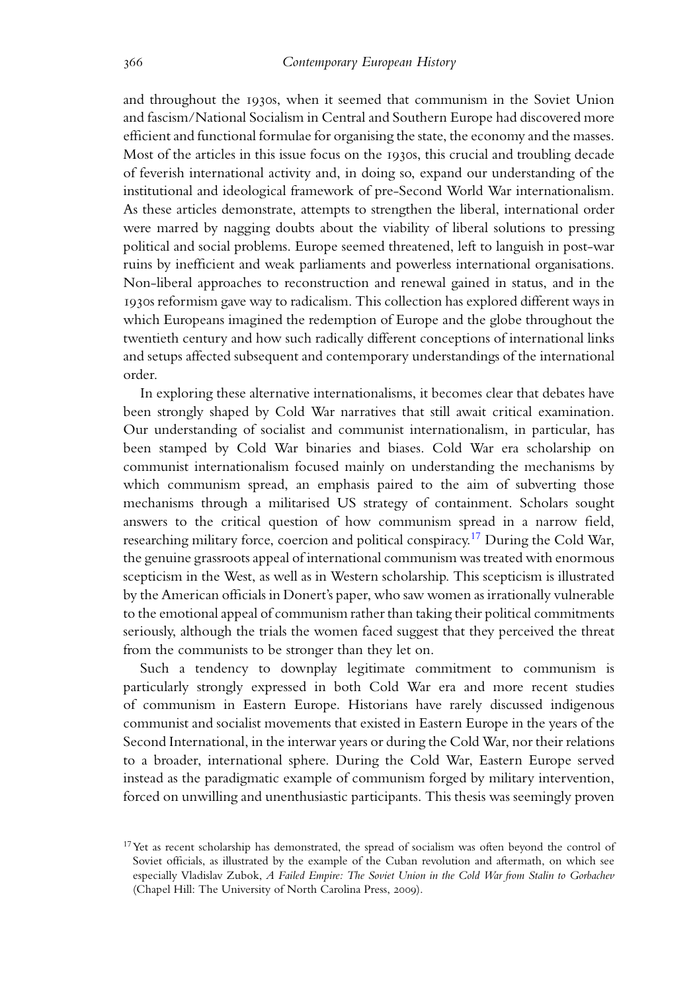and throughout the 1930s, when it seemed that communism in the Soviet Union and fascism/National Socialism in Central and Southern Europe had discovered more efficient and functional formulae for organising the state, the economy and the masses. Most of the articles in this issue focus on the 1930s, this crucial and troubling decade of feverish international activity and, in doing so, expand our understanding of the institutional and ideological framework of pre-Second World War internationalism. As these articles demonstrate, attempts to strengthen the liberal, international order were marred by nagging doubts about the viability of liberal solutions to pressing political and social problems. Europe seemed threatened, left to languish in post-war ruins by inefficient and weak parliaments and powerless international organisations. Non-liberal approaches to reconstruction and renewal gained in status, and in the 1930s reformism gave way to radicalism. This collection has explored different ways in which Europeans imagined the redemption of Europe and the globe throughout the twentieth century and how such radically different conceptions of international links and setups affected subsequent and contemporary understandings of the international order.

In exploring these alternative internationalisms, it becomes clear that debates have been strongly shaped by Cold War narratives that still await critical examination. Our understanding of socialist and communist internationalism, in particular, has been stamped by Cold War binaries and biases. Cold War era scholarship on communist internationalism focused mainly on understanding the mechanisms by which communism spread, an emphasis paired to the aim of subverting those mechanisms through a militarised US strategy of containment. Scholars sought answers to the critical question of how communism spread in a narrow field, researching military force, coercion and political conspiracy.<sup>17</sup> During the Cold War, the genuine grassroots appeal of international communism was treated with enormous scepticism in the West, as well as in Western scholarship. This scepticism is illustrated by the American officials in Donert's paper, who saw women as irrationally vulnerable to the emotional appeal of communism rather than taking their political commitments seriously, although the trials the women faced suggest that they perceived the threat from the communists to be stronger than they let on.

Such a tendency to downplay legitimate commitment to communism is particularly strongly expressed in both Cold War era and more recent studies of communism in Eastern Europe. Historians have rarely discussed indigenous communist and socialist movements that existed in Eastern Europe in the years of the Second International, in the interwar years or during the Cold War, nor their relations to a broader, international sphere. During the Cold War, Eastern Europe served instead as the paradigmatic example of communism forged by military intervention, forced on unwilling and unenthusiastic participants. This thesis was seemingly proven

<sup>&</sup>lt;sup>17</sup>Yet as recent scholarship has demonstrated, the spread of socialism was often beyond the control of Soviet officials, as illustrated by the example of the Cuban revolution and aftermath, on which see especially Vladislav Zubok, *A Failed Empire: The Soviet Union in the Cold War from Stalin to Gorbachev* (Chapel Hill: The University of North Carolina Press, 2009).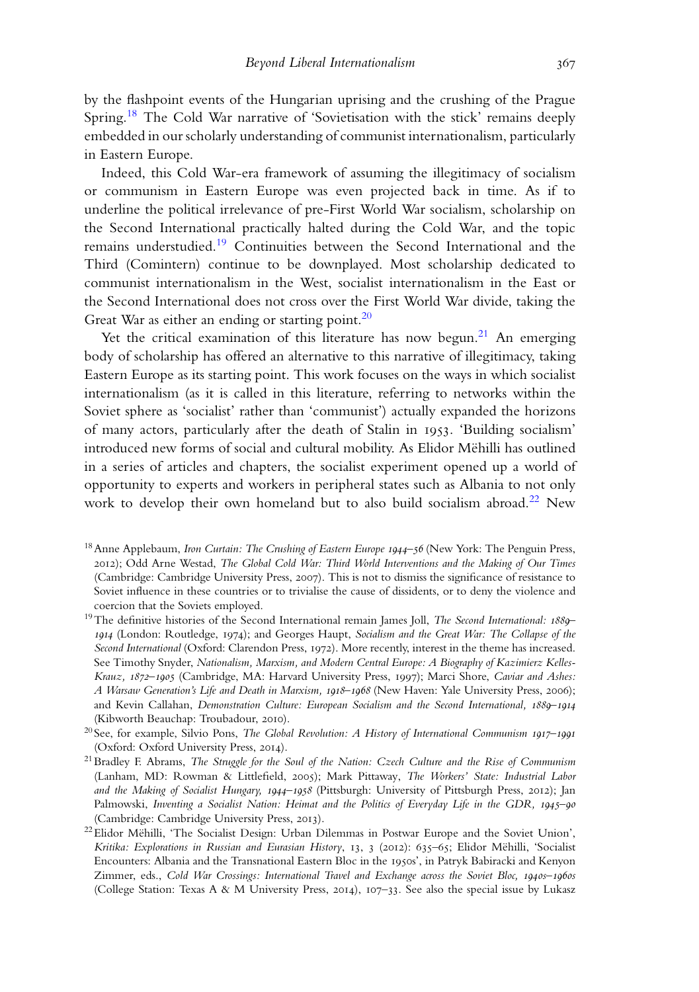by the flashpoint events of the Hungarian uprising and the crushing of the Prague Spring.<sup>18</sup> The Cold War narrative of 'Sovietisation with the stick' remains deeply embedded in our scholarly understanding of communist internationalism, particularly in Eastern Europe.

Indeed, this Cold War-era framework of assuming the illegitimacy of socialism or communism in Eastern Europe was even projected back in time. As if to underline the political irrelevance of pre-First World War socialism, scholarship on the Second International practically halted during the Cold War, and the topic remains understudied.<sup>19</sup> Continuities between the Second International and the Third (Comintern) continue to be downplayed. Most scholarship dedicated to communist internationalism in the West, socialist internationalism in the East or the Second International does not cross over the First World War divide, taking the Great War as either an ending or starting point. $^{20}$ 

Yet the critical examination of this literature has now begun.<sup>21</sup> An emerging body of scholarship has offered an alternative to this narrative of illegitimacy, taking Eastern Europe as its starting point. This work focuses on the ways in which socialist internationalism (as it is called in this literature, referring to networks within the Soviet sphere as 'socialist' rather than 'communist') actually expanded the horizons of many actors, particularly after the death of Stalin in 1953. 'Building socialism' introduced new forms of social and cultural mobility. As Elidor Mëhilli has outlined in a series of articles and chapters, the socialist experiment opened up a world of opportunity to experts and workers in peripheral states such as Albania to not only work to develop their own homeland but to also build socialism abroad.<sup>22</sup> New

<sup>18</sup>Anne Applebaum, *Iron Curtain: The Crushing of Eastern Europe 1944–56* (New York: The Penguin Press, 2012); Odd Arne Westad, *The Global Cold War: Third World Interventions and the Making of Our Times* (Cambridge: Cambridge University Press, 2007). This is not to dismiss the significance of resistance to Soviet influence in these countries or to trivialise the cause of dissidents, or to deny the violence and coercion that the Soviets employed.

<sup>19</sup>The definitive histories of the Second International remain James Joll, *The Second International: 1889– 1914* (London: Routledge, 1974); and Georges Haupt, *Socialism and the Great War: The Collapse of the Second International* (Oxford: Clarendon Press, 1972). More recently, interest in the theme has increased. See Timothy Snyder, *Nationalism, Marxism, and Modern Central Europe: A Biography of Kazimierz Kelles-Krauz, 1872–1905* (Cambridge, MA: Harvard University Press, 1997); Marci Shore, *Caviar and Ashes: A Warsaw Generation's Life and Death in Marxism, 1918–1968* (New Haven: Yale University Press, 2006); and Kevin Callahan, *Demonstration Culture: European Socialism and the Second International, 1889–1914* (Kibworth Beauchap: Troubadour, 2010).

<sup>20</sup> See, for example, Silvio Pons, *The Global Revolution: A History of International Communism 1917–1991* (Oxford: Oxford University Press, 2014).

<sup>21</sup>Bradley F. Abrams, *The Struggle for the Soul of the Nation: Czech Culture and the Rise of Communism* (Lanham, MD: Rowman & Littlefield, 2005); Mark Pittaway, *The Workers' State: Industrial Labor and the Making of Socialist Hungary, 1944–1958* (Pittsburgh: University of Pittsburgh Press, 2012); Jan Palmowski, *Inventing a Socialist Nation: Heimat and the Politics of Everyday Life in the GDR, 1945–90* (Cambridge: Cambridge University Press, 2013).

<sup>22</sup>Elidor Mëhilli, 'The Socialist Design: Urban Dilemmas in Postwar Europe and the Soviet Union', *Kritika: Explorations in Russian and Eurasian History*, 13, 3 (2012): 635–65; Elidor Mëhilli, 'Socialist Encounters: Albania and the Transnational Eastern Bloc in the 1950s', in Patryk Babiracki and Kenyon Zimmer, eds., *Cold War Crossings: International Travel and Exchange across the Soviet Bloc, 1940s–1960s* (College Station: Texas A & M University Press, 2014), 107–33. See also the special issue by Lukasz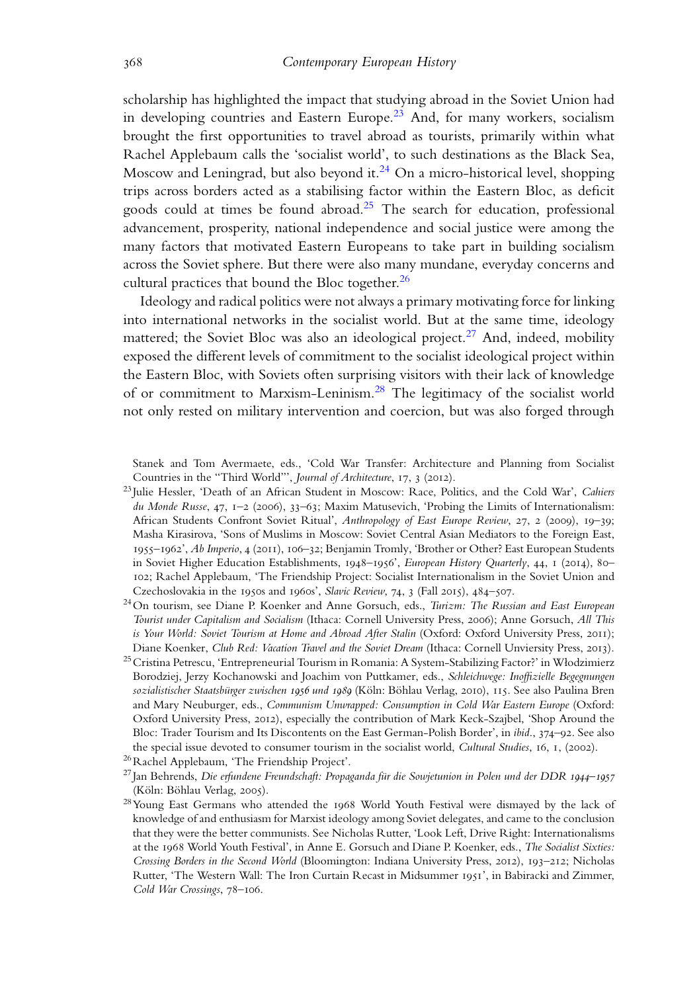scholarship has highlighted the impact that studying abroad in the Soviet Union had in developing countries and Eastern Europe.<sup>23</sup> And, for many workers, socialism brought the first opportunities to travel abroad as tourists, primarily within what Rachel Applebaum calls the 'socialist world', to such destinations as the Black Sea, Moscow and Leningrad, but also beyond it.<sup>24</sup> On a micro-historical level, shopping trips across borders acted as a stabilising factor within the Eastern Bloc, as deficit goods could at times be found abroad.<sup>25</sup> The search for education, professional advancement, prosperity, national independence and social justice were among the many factors that motivated Eastern Europeans to take part in building socialism across the Soviet sphere. But there were also many mundane, everyday concerns and cultural practices that bound the Bloc together. $^{26}$ 

Ideology and radical politics were not always a primary motivating force for linking into international networks in the socialist world. But at the same time, ideology mattered; the Soviet Bloc was also an ideological project.<sup>27</sup> And, indeed, mobility exposed the different levels of commitment to the socialist ideological project within the Eastern Bloc, with Soviets often surprising visitors with their lack of knowledge of or commitment to Marxism-Leninism.28 The legitimacy of the socialist world not only rested on military intervention and coercion, but was also forged through

Stanek and Tom Avermaete, eds., 'Cold War Transfer: Architecture and Planning from Socialist Countries in the "Third World"', *Journal of Architecture*, 17, 3 (2012).

- <sup>23</sup> Julie Hessler, 'Death of an African Student in Moscow: Race, Politics, and the Cold War', *Cahiers du Monde Russe*, 47, 1–2 (2006), 33–63; Maxim Matusevich, 'Probing the Limits of Internationalism: African Students Confront Soviet Ritual', *Anthropology of East Europe Review*, 27, 2 (2009), 19–39; Masha Kirasirova, 'Sons of Muslims in Moscow: Soviet Central Asian Mediators to the Foreign East, 1955–1962', *Ab Imperio*, 4 (2011), 106–32; Benjamin Tromly, 'Brother or Other? East European Students in Soviet Higher Education Establishments, 1948–1956', *European History Quarterly*, 44, 1 (2014), 80– 102; Rachel Applebaum, 'The Friendship Project: Socialist Internationalism in the Soviet Union and Czechoslovakia in the 1950s and 1960s', *Slavic Review*, 74, 3 (Fall 2015), 484–507.
- 24On tourism, see Diane P. Koenker and Anne Gorsuch, eds., *Turizm: The Russian and East European Tourist under Capitalism and Socialism* (Ithaca: Cornell University Press, 2006); Anne Gorsuch, *All This is Your World: Soviet Tourism at Home and Abroad After Stalin* (Oxford: Oxford University Press, 2011); Diane Koenker, *Club Red: Vacation Travel and the Soviet Dream* (Ithaca: Cornell Unviersity Press, 2013).
- <sup>25</sup> Cristina Petrescu, 'Entrepreneurial Tourism in Romania: A System-Stabilizing Factor?' in Włodzimierz Borodziej, Jerzy Kochanowski and Joachim von Puttkamer, eds., *Schleichwege: Inoffizielle Begegnungen sozialistischer Staatsbürger zwischen 1956 und 1989* (Köln: Böhlau Verlag, 2010), 115. See also Paulina Bren and Mary Neuburger, eds., *Communism Unwrapped: Consumption in Cold War Eastern Europe* (Oxford: Oxford University Press, 2012), especially the contribution of Mark Keck-Szajbel, 'Shop Around the Bloc: Trader Tourism and Its Discontents on the East German-Polish Border', in *ibid*., 374–92. See also the special issue devoted to consumer tourism in the socialist world, *Cultural Studies*, 16, 1, (2002).
- 26Rachel Applebaum, 'The Friendship Project'.
- <sup>27</sup> Jan Behrends, *Die erfundene Freundschaft: Propaganda für die Sowjetunion in Polen und der DDR 1944–1957* (Köln: Böhlau Verlag, 2005).
- 28Young East Germans who attended the 1968 World Youth Festival were dismayed by the lack of knowledge of and enthusiasm for Marxist ideology among Soviet delegates, and came to the conclusion that they were the better communists. See Nicholas Rutter, 'Look Left, Drive Right: Internationalisms at the 1968 World Youth Festival', in Anne E. Gorsuch and Diane P. Koenker, eds., *The Socialist Sixties: Crossing Borders in the Second World* (Bloomington: Indiana University Press, 2012), 193–212; Nicholas Rutter, 'The Western Wall: The Iron Curtain Recast in Midsummer 1951', in Babiracki and Zimmer, *Cold War Crossings*, 78–106.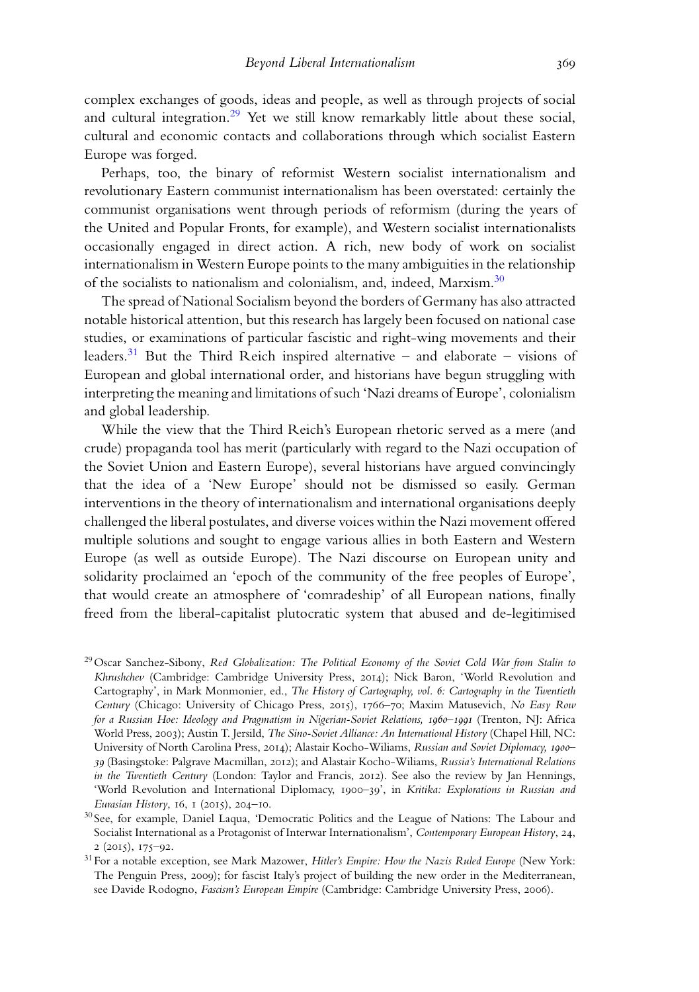complex exchanges of goods, ideas and people, as well as through projects of social and cultural integration.<sup>29</sup> Yet we still know remarkably little about these social, cultural and economic contacts and collaborations through which socialist Eastern Europe was forged.

Perhaps, too, the binary of reformist Western socialist internationalism and revolutionary Eastern communist internationalism has been overstated: certainly the communist organisations went through periods of reformism (during the years of the United and Popular Fronts, for example), and Western socialist internationalists occasionally engaged in direct action. A rich, new body of work on socialist internationalism in Western Europe points to the many ambiguities in the relationship of the socialists to nationalism and colonialism, and, indeed, Marxism.<sup>30</sup>

The spread of National Socialism beyond the borders of Germany has also attracted notable historical attention, but this research has largely been focused on national case studies, or examinations of particular fascistic and right-wing movements and their leaders.<sup>31</sup> But the Third Reich inspired alternative – and elaborate – visions of European and global international order, and historians have begun struggling with interpreting the meaning and limitations of such 'Nazi dreams of Europe', colonialism and global leadership.

While the view that the Third Reich's European rhetoric served as a mere (and crude) propaganda tool has merit (particularly with regard to the Nazi occupation of the Soviet Union and Eastern Europe), several historians have argued convincingly that the idea of a 'New Europe' should not be dismissed so easily. German interventions in the theory of internationalism and international organisations deeply challenged the liberal postulates, and diverse voices within the Nazi movement offered multiple solutions and sought to engage various allies in both Eastern and Western Europe (as well as outside Europe). The Nazi discourse on European unity and solidarity proclaimed an 'epoch of the community of the free peoples of Europe', that would create an atmosphere of 'comradeship' of all European nations, finally freed from the liberal-capitalist plutocratic system that abused and de-legitimised

<sup>29</sup>Oscar Sanchez-Sibony, *Red Globalization: The Political Economy of the Soviet Cold War from Stalin to Khrushchev* (Cambridge: Cambridge University Press, 2014); Nick Baron, 'World Revolution and Cartography', in Mark Monmonier, ed., *The History of Cartography, vol. 6: Cartography in the Twentieth Century* (Chicago: University of Chicago Press, 2015), 1766–70; Maxim Matusevich, *No Easy Row for a Russian Hoe: Ideology and Pragmatism in Nigerian-Soviet Relations, 1960–1991* (Trenton, NJ: Africa World Press, 2003); Austin T. Jersild, *The Sino-Soviet Alliance: An International History* (Chapel Hill, NC: University of North Carolina Press, 2014); Alastair Kocho-Wiliams, *Russian and Soviet Diplomacy, 1900– 39* (Basingstoke: Palgrave Macmillan, 2012); and Alastair Kocho-Wiliams, *Russia's International Relations in the Twentieth Century* (London: Taylor and Francis, 2012). See also the review by Jan Hennings, 'World Revolution and International Diplomacy, 1900–39', in *Kritika: Explorations in Russian and Eurasian History*, 16, 1 (2015), 204–10.

<sup>30</sup> See, for example, Daniel Laqua, 'Democratic Politics and the League of Nations: The Labour and Socialist International as a Protagonist of Interwar Internationalism', *Contemporary European History*, 24, 2 (2015), 175–92.

<sup>31</sup>For a notable exception, see Mark Mazower, *Hitler's Empire: How the Nazis Ruled Europe* (New York: The Penguin Press, 2009); for fascist Italy's project of building the new order in the Mediterranean, see Davide Rodogno, *Fascism's European Empire* (Cambridge: Cambridge University Press, 2006).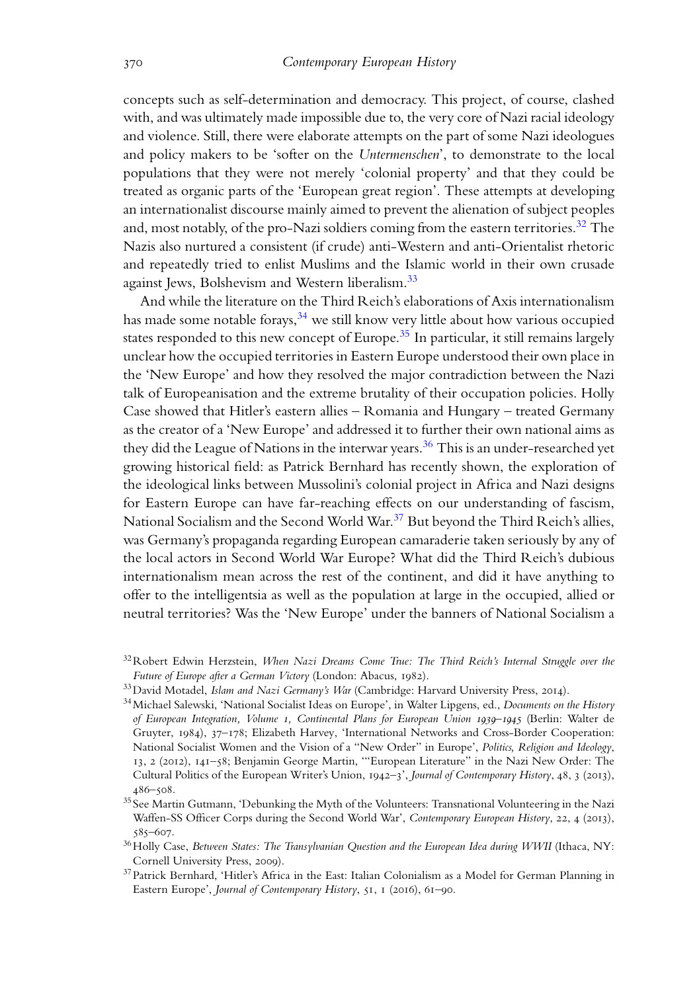concepts such as self-determination and democracy. This project, of course, clashed with, and was ultimately made impossible due to, the very core of Nazi racial ideology and violence. Still, there were elaborate attempts on the part of some Nazi ideologues and policy makers to be 'softer on the *Untermenschen*', to demonstrate to the local populations that they were not merely 'colonial property' and that they could be treated as organic parts of the 'European great region'. These attempts at developing an internationalist discourse mainly aimed to prevent the alienation of subject peoples and, most notably, of the pro-Nazi soldiers coming from the eastern territories.<sup>32</sup> The Nazis also nurtured a consistent (if crude) anti-Western and anti-Orientalist rhetoric and repeatedly tried to enlist Muslims and the Islamic world in their own crusade against Jews, Bolshevism and Western liberalism.<sup>33</sup>

And while the literature on the Third Reich's elaborations of Axis internationalism has made some notable forays,  $3<sup>4</sup>$  we still know very little about how various occupied states responded to this new concept of Europe.<sup>35</sup> In particular, it still remains largely unclear how the occupied territories in Eastern Europe understood their own place in the 'New Europe' and how they resolved the major contradiction between the Nazi talk of Europeanisation and the extreme brutality of their occupation policies. Holly Case showed that Hitler's eastern allies – Romania and Hungary – treated Germany as the creator of a 'New Europe' and addressed it to further their own national aims as they did the League of Nations in the interwar years.<sup>36</sup> This is an under-researched yet growing historical field: as Patrick Bernhard has recently shown, the exploration of the ideological links between Mussolini's colonial project in Africa and Nazi designs for Eastern Europe can have far-reaching effects on our understanding of fascism, National Socialism and the Second World War.<sup>37</sup> But beyond the Third Reich's allies, was Germany's propaganda regarding European camaraderie taken seriously by any of the local actors in Second World War Europe? What did the Third Reich's dubious internationalism mean across the rest of the continent, and did it have anything to offer to the intelligentsia as well as the population at large in the occupied, allied or neutral territories? Was the 'New Europe' under the banners of National Socialism a

33David Motadel, *Islam and Nazi Germany's War* (Cambridge: Harvard University Press, 2014).

<sup>32</sup>Robert Edwin Herzstein, *When Nazi Dreams Come True: The Third Reich's Internal Struggle over the Future of Europe after a German Victory* (London: Abacus, 1982).

<sup>34</sup>Michael Salewski, 'National Socialist Ideas on Europe', in Walter Lipgens, ed., *Documents on the History of European Integration, Volume 1, Continental Plans for European Union 1939–1945* (Berlin: Walter de Gruyter, 1984), 37–178; Elizabeth Harvey, 'International Networks and Cross-Border Cooperation: National Socialist Women and the Vision of a "New Order" in Europe', *Politics, Religion and Ideology*, 13, 2 (2012), 141–58; Benjamin George Martin, '"European Literature" in the Nazi New Order: The Cultural Politics of the European Writer's Union, 1942–3', *Journal of Contemporary History*, 48, 3 (2013), 486–508.

<sup>&</sup>lt;sup>35</sup> See Martin Gutmann, 'Debunking the Myth of the Volunteers: Transnational Volunteering in the Nazi Waffen-SS Officer Corps during the Second World War', *Contemporary European History*, 22, 4 (2013), 585–607.

<sup>36</sup>Holly Case, *Between States: The Transylvanian Question and the European Idea during WWII* (Ithaca, NY: Cornell University Press, 2009).

<sup>&</sup>lt;sup>37</sup> Patrick Bernhard, 'Hitler's Africa in the East: Italian Colonialism as a Model for German Planning in Eastern Europe', *Journal of Contemporary History*, 51, 1 (2016), 61–90.